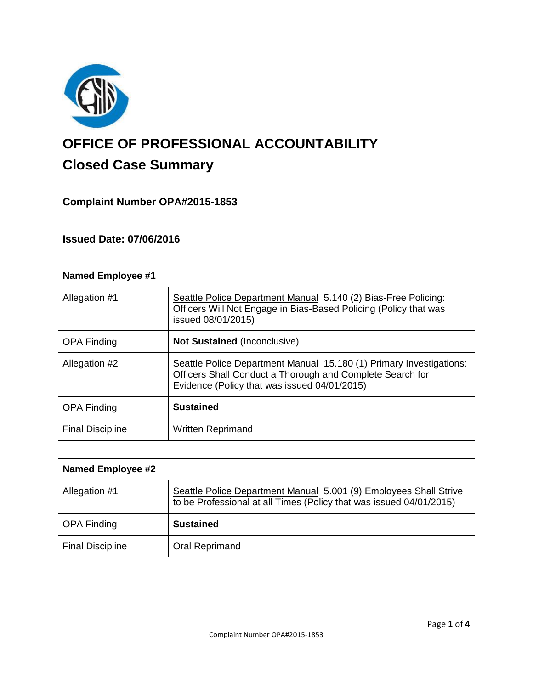

# **OFFICE OF PROFESSIONAL ACCOUNTABILITY Closed Case Summary**

## **Complaint Number OPA#2015-1853**

## **Issued Date: 07/06/2016**

| <b>Named Employee #1</b> |                                                                                                                                                                                  |
|--------------------------|----------------------------------------------------------------------------------------------------------------------------------------------------------------------------------|
| Allegation #1            | Seattle Police Department Manual 5.140 (2) Bias-Free Policing:<br>Officers Will Not Engage in Bias-Based Policing (Policy that was<br>issued 08/01/2015)                         |
| <b>OPA Finding</b>       | <b>Not Sustained (Inconclusive)</b>                                                                                                                                              |
| Allegation #2            | Seattle Police Department Manual 15.180 (1) Primary Investigations:<br>Officers Shall Conduct a Thorough and Complete Search for<br>Evidence (Policy that was issued 04/01/2015) |
| <b>OPA Finding</b>       | <b>Sustained</b>                                                                                                                                                                 |
| <b>Final Discipline</b>  | <b>Written Reprimand</b>                                                                                                                                                         |

| Named Employee #2       |                                                                                                                                          |
|-------------------------|------------------------------------------------------------------------------------------------------------------------------------------|
| Allegation #1           | Seattle Police Department Manual 5.001 (9) Employees Shall Strive<br>to be Professional at all Times (Policy that was issued 04/01/2015) |
| <b>OPA Finding</b>      | <b>Sustained</b>                                                                                                                         |
| <b>Final Discipline</b> | Oral Reprimand                                                                                                                           |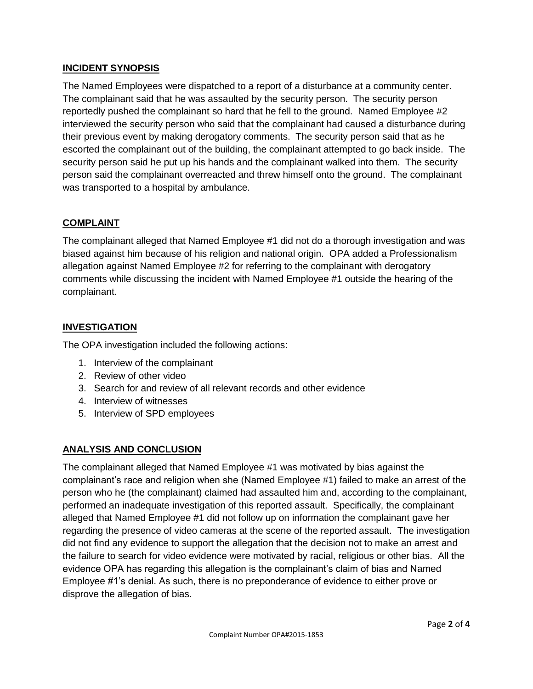## **INCIDENT SYNOPSIS**

The Named Employees were dispatched to a report of a disturbance at a community center. The complainant said that he was assaulted by the security person. The security person reportedly pushed the complainant so hard that he fell to the ground. Named Employee #2 interviewed the security person who said that the complainant had caused a disturbance during their previous event by making derogatory comments. The security person said that as he escorted the complainant out of the building, the complainant attempted to go back inside. The security person said he put up his hands and the complainant walked into them. The security person said the complainant overreacted and threw himself onto the ground. The complainant was transported to a hospital by ambulance.

#### **COMPLAINT**

The complainant alleged that Named Employee #1 did not do a thorough investigation and was biased against him because of his religion and national origin. OPA added a Professionalism allegation against Named Employee #2 for referring to the complainant with derogatory comments while discussing the incident with Named Employee #1 outside the hearing of the complainant.

#### **INVESTIGATION**

The OPA investigation included the following actions:

- 1. Interview of the complainant
- 2. Review of other video
- 3. Search for and review of all relevant records and other evidence
- 4. Interview of witnesses
- 5. Interview of SPD employees

## **ANALYSIS AND CONCLUSION**

The complainant alleged that Named Employee #1 was motivated by bias against the complainant's race and religion when she (Named Employee #1) failed to make an arrest of the person who he (the complainant) claimed had assaulted him and, according to the complainant, performed an inadequate investigation of this reported assault. Specifically, the complainant alleged that Named Employee #1 did not follow up on information the complainant gave her regarding the presence of video cameras at the scene of the reported assault. The investigation did not find any evidence to support the allegation that the decision not to make an arrest and the failure to search for video evidence were motivated by racial, religious or other bias. All the evidence OPA has regarding this allegation is the complainant's claim of bias and Named Employee #1's denial. As such, there is no preponderance of evidence to either prove or disprove the allegation of bias.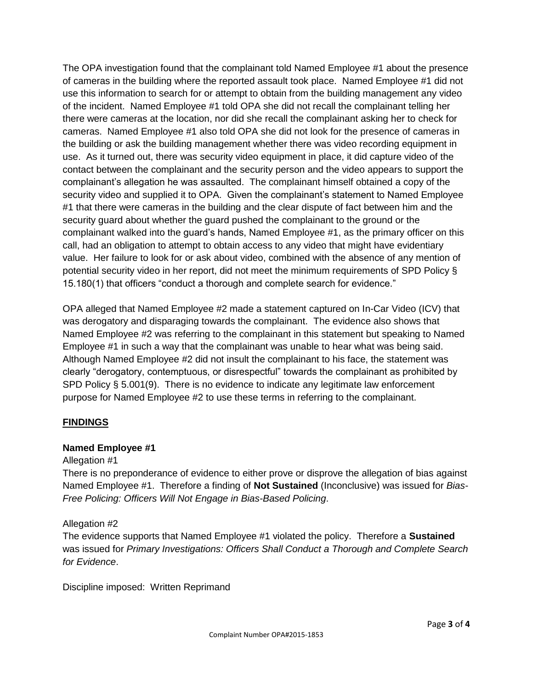The OPA investigation found that the complainant told Named Employee #1 about the presence of cameras in the building where the reported assault took place. Named Employee #1 did not use this information to search for or attempt to obtain from the building management any video of the incident. Named Employee #1 told OPA she did not recall the complainant telling her there were cameras at the location, nor did she recall the complainant asking her to check for cameras. Named Employee #1 also told OPA she did not look for the presence of cameras in the building or ask the building management whether there was video recording equipment in use. As it turned out, there was security video equipment in place, it did capture video of the contact between the complainant and the security person and the video appears to support the complainant's allegation he was assaulted. The complainant himself obtained a copy of the security video and supplied it to OPA. Given the complainant's statement to Named Employee #1 that there were cameras in the building and the clear dispute of fact between him and the security guard about whether the guard pushed the complainant to the ground or the complainant walked into the guard's hands, Named Employee #1, as the primary officer on this call, had an obligation to attempt to obtain access to any video that might have evidentiary value. Her failure to look for or ask about video, combined with the absence of any mention of potential security video in her report, did not meet the minimum requirements of SPD Policy § 15.180(1) that officers "conduct a thorough and complete search for evidence."

OPA alleged that Named Employee #2 made a statement captured on In-Car Video (ICV) that was derogatory and disparaging towards the complainant. The evidence also shows that Named Employee #2 was referring to the complainant in this statement but speaking to Named Employee #1 in such a way that the complainant was unable to hear what was being said. Although Named Employee #2 did not insult the complainant to his face, the statement was clearly "derogatory, contemptuous, or disrespectful" towards the complainant as prohibited by SPD Policy § 5.001(9). There is no evidence to indicate any legitimate law enforcement purpose for Named Employee #2 to use these terms in referring to the complainant.

#### **FINDINGS**

#### **Named Employee #1**

#### Allegation #1

There is no preponderance of evidence to either prove or disprove the allegation of bias against Named Employee #1. Therefore a finding of **Not Sustained** (Inconclusive) was issued for *Bias-Free Policing: Officers Will Not Engage in Bias-Based Policing*.

#### Allegation #2

The evidence supports that Named Employee #1 violated the policy. Therefore a **Sustained** was issued for *Primary Investigations: Officers Shall Conduct a Thorough and Complete Search for Evidence*.

Discipline imposed: Written Reprimand